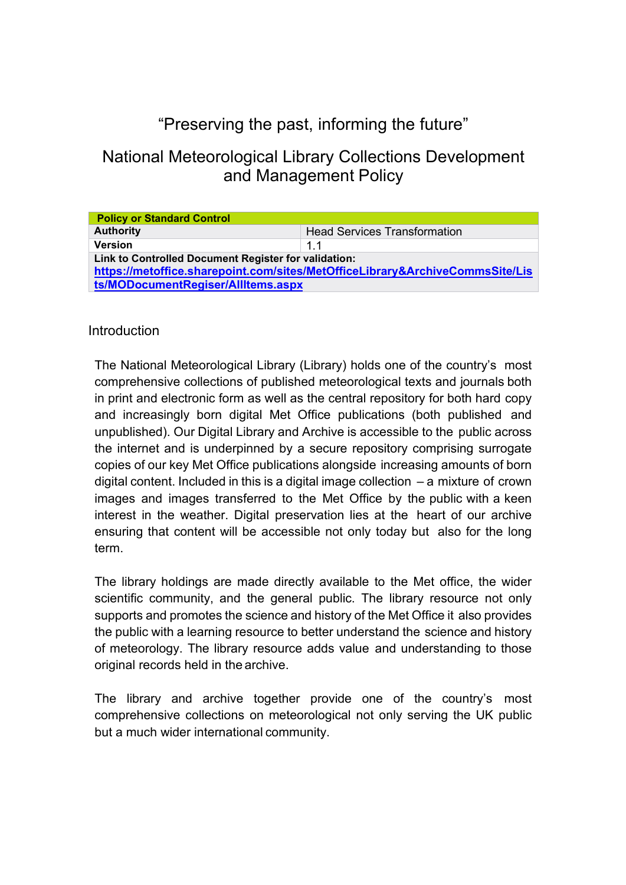# "Preserving the past, informing the future"

## National Meteorological Library Collections Development and Management Policy

| <b>Policy or Standard Control</b>                                            |                                     |  |  |  |
|------------------------------------------------------------------------------|-------------------------------------|--|--|--|
| <b>Authority</b>                                                             | <b>Head Services Transformation</b> |  |  |  |
| <b>Version</b>                                                               | 11                                  |  |  |  |
| Link to Controlled Document Register for validation:                         |                                     |  |  |  |
| https://metoffice.sharepoint.com/sites/MetOfficeLibrary&ArchiveCommsSite/Lis |                                     |  |  |  |
| ts/MODocumentRegiser/AllItems.aspx                                           |                                     |  |  |  |

#### **Introduction**

The National Meteorological Library (Library) holds one of the country's most comprehensive collections of published meteorological texts and journals both in print and electronic form as well as the central repository for both hard copy and increasingly born digital Met Office publications (both published and unpublished). Our Digital Library and Archive is accessible to the public across the internet and is underpinned by a secure repository comprising surrogate copies of our key Met Office publications alongside increasing amounts of born digital content. Included in this is a digital image collection  $-$  a mixture of crown images and images transferred to the Met Office by the public with a keen interest in the weather. Digital preservation lies at the heart of our archive ensuring that content will be accessible not only today but also for the long term.

The library holdings are made directly available to the Met office, the wider scientific community, and the general public. The library resource not only supports and promotes the science and history of the Met Office it also provides the public with a learning resource to better understand the science and history of meteorology. The library resource adds value and understanding to those original records held in the archive.

The library and archive together provide one of the country's most comprehensive collections on meteorological not only serving the UK public but a much wider international community.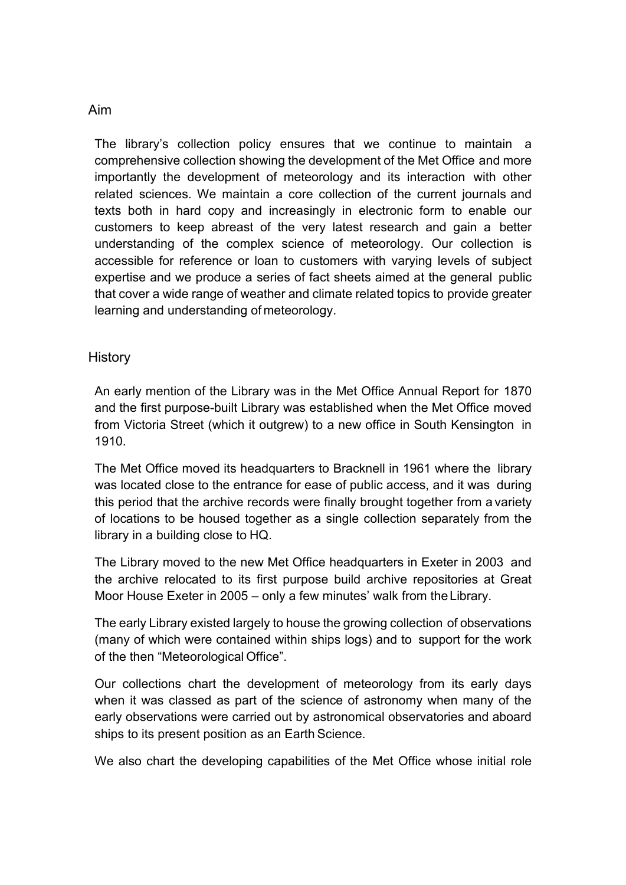#### Aim

The library's collection policy ensures that we continue to maintain a comprehensive collection showing the development of the Met Office and more importantly the development of meteorology and its interaction with other related sciences. We maintain a core collection of the current journals and texts both in hard copy and increasingly in electronic form to enable our customers to keep abreast of the very latest research and gain a better understanding of the complex science of meteorology. Our collection is accessible for reference or loan to customers with varying levels of subject expertise and we produce a series of fact sheets aimed at the general public that cover a wide range of weather and climate related topics to provide greater learning and understanding of meteorology.

#### **History**

An early mention of the Library was in the Met Office Annual Report for 1870 and the first purpose-built Library was established when the Met Office moved from Victoria Street (which it outgrew) to a new office in South Kensington in 1910.

The Met Office moved its headquarters to Bracknell in 1961 where the library was located close to the entrance for ease of public access, and it was during this period that the archive records were finally brought together from a variety of locations to be housed together as a single collection separately from the library in a building close to HQ.

The Library moved to the new Met Office headquarters in Exeter in 2003 and the archive relocated to its first purpose build archive repositories at Great Moor House Exeter in 2005 – only a few minutes' walk from theLibrary.

The early Library existed largely to house the growing collection of observations (many of which were contained within ships logs) and to support for the work of the then "Meteorological Office".

Our collections chart the development of meteorology from its early days when it was classed as part of the science of astronomy when many of the early observations were carried out by astronomical observatories and aboard ships to its present position as an Earth Science.

We also chart the developing capabilities of the Met Office whose initial role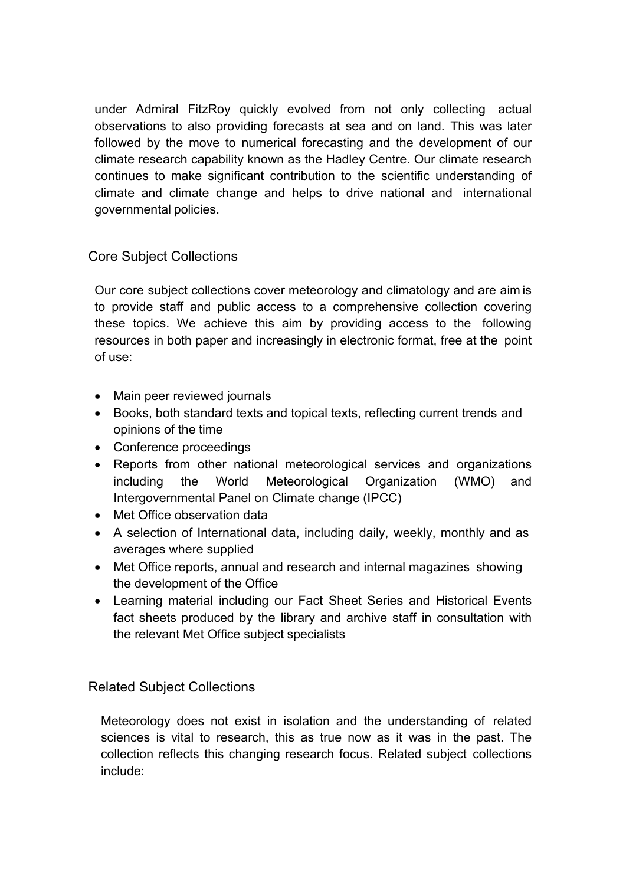under Admiral FitzRoy quickly evolved from not only collecting actual observations to also providing forecasts at sea and on land. This was later followed by the move to numerical forecasting and the development of our climate research capability known as the Hadley Centre. Our climate research continues to make significant contribution to the scientific understanding of climate and climate change and helps to drive national and international governmental policies.

## Core Subject Collections

Our core subject collections cover meteorology and climatology and are aim is to provide staff and public access to a comprehensive collection covering these topics. We achieve this aim by providing access to the following resources in both paper and increasingly in electronic format, free at the point of use:

- Main peer reviewed journals
- Books, both standard texts and topical texts, reflecting current trends and opinions of the time
- Conference proceedings
- Reports from other national meteorological services and organizations including the World Meteorological Organization (WMO) and Intergovernmental Panel on Climate change (IPCC)
- Met Office observation data
- A selection of International data, including daily, weekly, monthly and as averages where supplied
- Met Office reports, annual and research and internal magazines showing the development of the Office
- Learning material including our Fact Sheet Series and Historical Events fact sheets produced by the library and archive staff in consultation with the relevant Met Office subject specialists

#### Related Subject Collections

Meteorology does not exist in isolation and the understanding of related sciences is vital to research, this as true now as it was in the past. The collection reflects this changing research focus. Related subject collections include: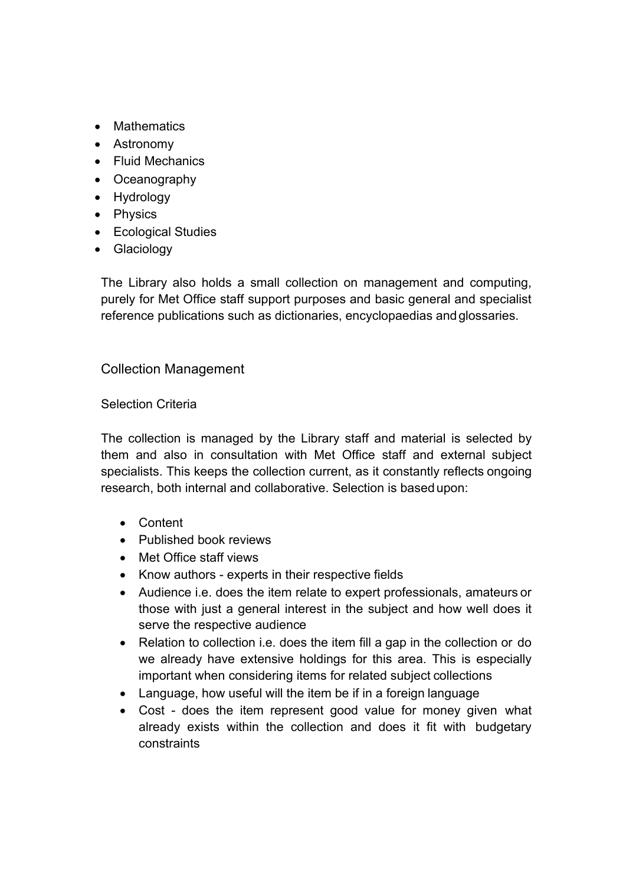- Mathematics
- Astronomy
- Fluid Mechanics
- Oceanography
- Hydrology
- Physics
- Ecological Studies
- Glaciology

The Library also holds a small collection on management and computing, purely for Met Office staff support purposes and basic general and specialist reference publications such as dictionaries, encyclopaedias andglossaries.

## Collection Management

#### Selection Criteria

The collection is managed by the Library staff and material is selected by them and also in consultation with Met Office staff and external subject specialists. This keeps the collection current, as it constantly reflects ongoing research, both internal and collaborative. Selection is basedupon:

- Content
- Published book reviews
- Met Office staff views
- Know authors experts in their respective fields
- Audience i.e. does the item relate to expert professionals, amateurs or those with just a general interest in the subject and how well does it serve the respective audience
- Relation to collection i.e. does the item fill a gap in the collection or do we already have extensive holdings for this area. This is especially important when considering items for related subject collections
- Language, how useful will the item be if in a foreign language
- Cost does the item represent good value for money given what already exists within the collection and does it fit with budgetary constraints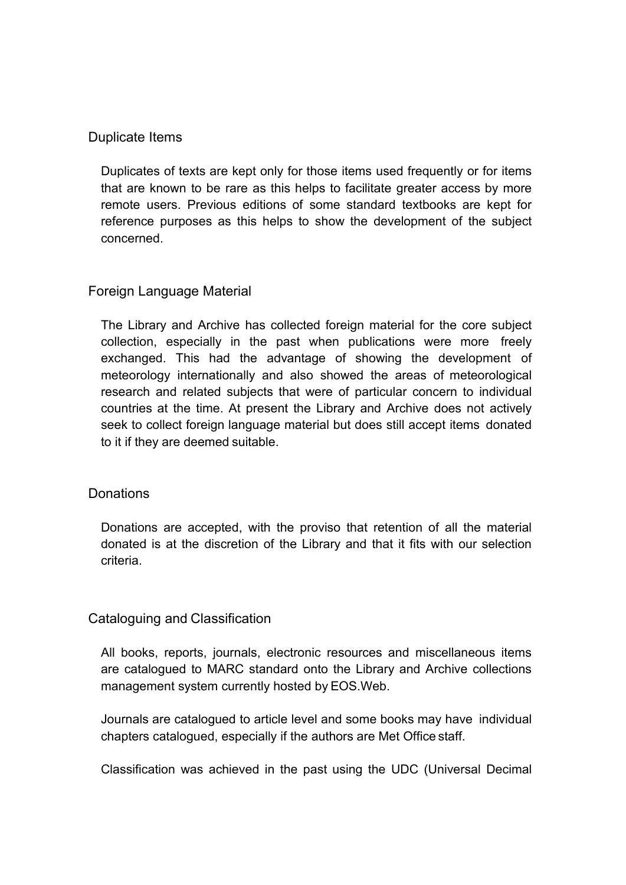#### Duplicate Items

Duplicates of texts are kept only for those items used frequently or for items that are known to be rare as this helps to facilitate greater access by more remote users. Previous editions of some standard textbooks are kept for reference purposes as this helps to show the development of the subject concerned.

## Foreign Language Material

The Library and Archive has collected foreign material for the core subject collection, especially in the past when publications were more freely exchanged. This had the advantage of showing the development of meteorology internationally and also showed the areas of meteorological research and related subjects that were of particular concern to individual countries at the time. At present the Library and Archive does not actively seek to collect foreign language material but does still accept items donated to it if they are deemed suitable.

#### **Donations**

Donations are accepted, with the proviso that retention of all the material donated is at the discretion of the Library and that it fits with our selection criteria.

#### Cataloguing and Classification

All books, reports, journals, electronic resources and miscellaneous items are catalogued to MARC standard onto the Library and Archive collections management system currently hosted by EOS.Web.

Journals are catalogued to article level and some books may have individual chapters catalogued, especially if the authors are Met Office staff.

Classification was achieved in the past using the UDC (Universal Decimal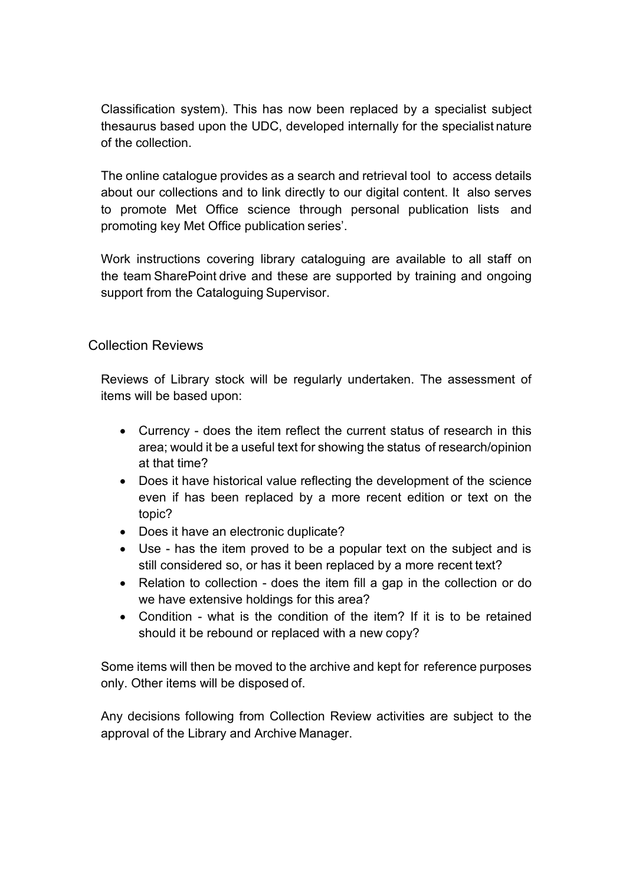Classification system). This has now been replaced by a specialist subject thesaurus based upon the UDC, developed internally for the specialist nature of the collection.

The online catalogue provides as a search and retrieval tool to access details about our collections and to link directly to our digital content. It also serves to promote Met Office science through personal publication lists and promoting key Met Office publication series'.

Work instructions covering library cataloguing are available to all staff on the team SharePoint drive and these are supported by training and ongoing support from the Cataloguing Supervisor.

## Collection Reviews

Reviews of Library stock will be regularly undertaken. The assessment of items will be based upon:

- Currency does the item reflect the current status of research in this area; would it be a useful text for showing the status of research/opinion at that time?
- Does it have historical value reflecting the development of the science even if has been replaced by a more recent edition or text on the topic?
- Does it have an electronic duplicate?
- Use has the item proved to be a popular text on the subject and is still considered so, or has it been replaced by a more recent text?
- Relation to collection does the item fill a gap in the collection or do we have extensive holdings for this area?
- Condition what is the condition of the item? If it is to be retained should it be rebound or replaced with a new copy?

Some items will then be moved to the archive and kept for reference purposes only. Other items will be disposed of.

Any decisions following from Collection Review activities are subject to the approval of the Library and Archive Manager.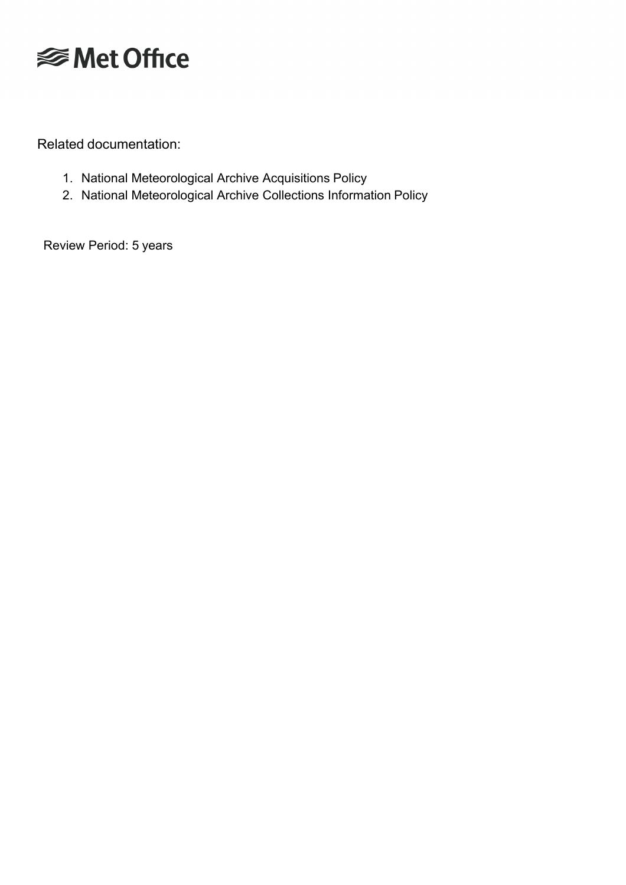

Related documentation:

- 1. National Meteorological Archive Acquisitions Policy
- 2. National Meteorological Archive Collections Information Policy

Review Period: 5 years